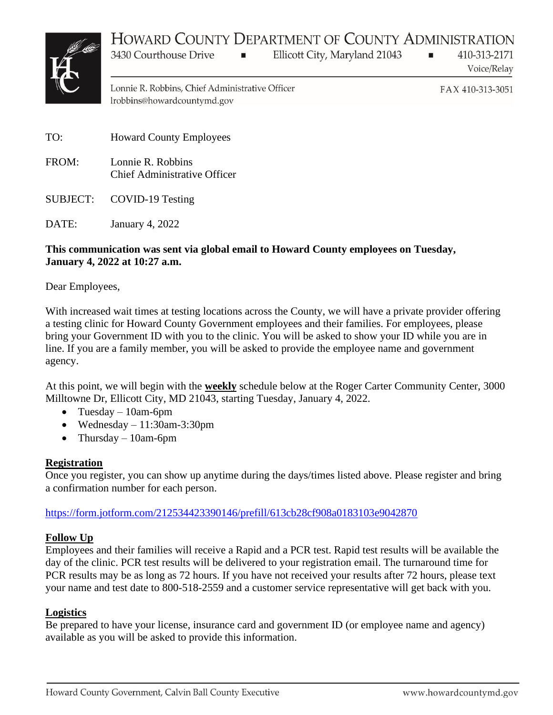# HOWARD COUNTY DEPARTMENT OF COUNTY ADMINISTRATION



Ellicott City, Maryland 21043

410-313-2171 Voice/Relay

Lonnie R. Robbins, Chief Administrative Officer lrobbins@howardcountymd.gov

 $\blacksquare$ 

FAX 410-313-3051

u.

TO: Howard County Employees

3430 Courthouse Drive

- FROM: Lonnie R. Robbins Chief Administrative Officer
- SUBJECT: COVID-19 Testing

DATE: January 4, 2022

#### **This communication was sent via global email to Howard County employees on Tuesday, January 4, 2022 at 10:27 a.m.**

Dear Employees,

With increased wait times at testing locations across the County, we will have a private provider offering a testing clinic for Howard County Government employees and their families. For employees, please bring your Government ID with you to the clinic. You will be asked to show your ID while you are in line. If you are a family member, you will be asked to provide the employee name and government agency.

At this point, we will begin with the **weekly** schedule below at the Roger Carter Community Center, 3000 Milltowne Dr, Ellicott City, MD 21043, starting Tuesday, January 4, 2022.

- Tuesday 10am-6pm
- Wednesday  $11:30$ am-3:30pm
- Thursday  $10$ am-6pm

#### **Registration**

Once you register, you can show up anytime during the days/times listed above. Please register and bring a confirmation number for each person.

[https://form.jotform.com/212534423390146/prefill/613cb28cf908a0183103e9042870](https://gcc02.safelinks.protection.outlook.com/?url=https%3A%2F%2Fform.jotform.com%2F212534423390146%2Fprefill%2F613cb28cf908a0183103e9042870&data=04%7C01%7Cdwilson%40howardcountymd.gov%7C09c2d44787ae4b354e2c08d9cf9698b4%7C0538130803664bb7a95b95304bd11a58%7C1%7C0%7C637769068065021679%7CUnknown%7CTWFpbGZsb3d8eyJWIjoiMC4wLjAwMDAiLCJQIjoiV2luMzIiLCJBTiI6Ik1haWwiLCJXVCI6Mn0%3D%7C3000&sdata=98uu5psRfb9QGs8QA7UooQ5J7zrR5u6Z1uBKzt6PStc%3D&reserved=0)

#### **Follow Up**

Employees and their families will receive a Rapid and a PCR test. Rapid test results will be available the day of the clinic. PCR test results will be delivered to your registration email. The turnaround time for PCR results may be as long as 72 hours. If you have not received your results after 72 hours, please text your name and test date to 800-518-2559 and a customer service representative will get back with you.

#### **Logistics**

Be prepared to have your license, insurance card and government ID (or employee name and agency) available as you will be asked to provide this information.